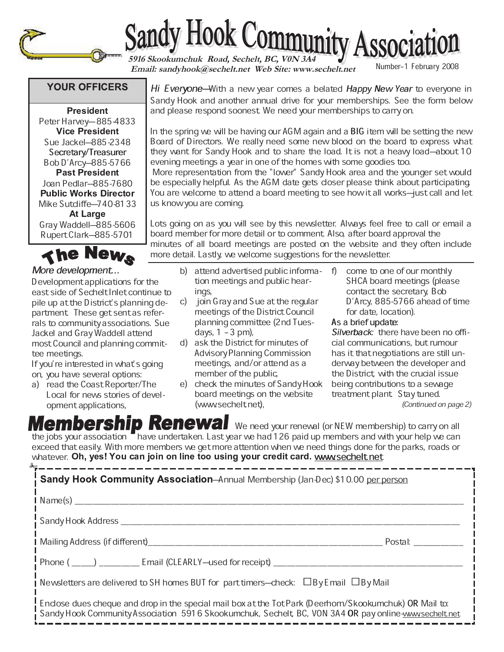



**5916 Skookumchuk Road, Sechelt, BC, V0N 3A4**<br> **Email: sandyhook@sechelt.net Web Site: www.sechelt.net** Number-1 February 2008

## **YOUR OFFICERS**

\_\_\_\_\_\_\_ Peter Harvey-885-4833 . . . . . Sue Jackel-885-2348 Secretary/Treasurer Bob D'Arcy-885-5766 Joan Pedlar–885-7680 Mike Sutcliffe-740-8133 Gray Waddell-885-5606 Rupert Clark-885-5701

The News

## More development...

Development applications for the east side of Sechelt Inlet continue to pile up at the District's planning department. These get sent as referrals to community associations. Sue Jackel and Gray Waddell attend most Council and planning committee meetings.

If you're interested in what's going on, you have several options:

a) read the Coast Reporter/The Local for news stories of development applications,

Hi Everyone–With a new year comes a belated Happy New Year to everyone in Sandy Hook and another annual drive for your memberships. See the form below and please respond soonest. We need your memberships to carry on.

In the spring we will be having our AGM again and a BIG item will be setting the new Board of Directors. We really need some new blood on the board to express what they want for Sandy Hook and to share the load. It is not a heavy load–about 10 evening meetings a year in one of the homes with some goodies too.

More representation from the "lower" Sandy Hook area and the younger set would be especially helpful. As the AGM date gets closer please think about participating. You are welcome to attend a board meeting to see how it all works-just call and let us know you are coming.

Lots going on as you will see by this newsletter. Always feel free to call or email a board member for more detail or to comment. Also, after board approval the minutes of all board meetings are posted on the website and they often include more detail. Lastly, we welcome suggestions for the newsletter.

- b) attend advertised public information meetings and public hearings,
- c) join Gray and Sue at the regular meetings of the District Council planning committee (2nd Tuesdays,  $1 - 3$  pm),
- d) ask the District for minutes of Advisory Planning Commission meetings, and/or attend as a member of the public,
- e) check the minutes of Sandy Hook board meetings on the website (www.sechelt.net),
- f) come to one of our monthly SHCA board meetings (please contact the secretary, Bob D'Arcy, 885-5766 ahead of time for date, location).

## As a brief update:

Silverback: there have been no official communications, but rumour has it that negotiations are still underway between the developer and the District, with the crucial issue being contributions to a sewage treatment plant. Stay tuned.

(Continued on page 2)

**Membership Renewal** We need your renewal (or NEW membership) to carry on all the jobs your association  $\blacksquare$  have undertaken. Last year we had 126 paid up members and with your help we can exceed that easily. With more members we get more attention when we need things done for the parks, roads or whatever. **Oh, yes! You can join on line too using your credit card**. <u>www.sechelt.net</u>

Sandy Hook Community Association-Annual Membership (Jan-Dec) \$10.00 per person  $Name(s)$ Sandy Hook Address \_\_\_\_\_\_\_\_\_\_\_\_\_\_\_\_\_\_\_\_\_\_\_\_\_\_\_\_\_\_\_\_\_\_\_\_\_\_\_\_\_\_\_\_\_\_\_\_\_\_\_\_\_\_\_\_\_\_\_\_\_\_\_\_\_\_\_\_\_\_\_\_\_\_\_ Mailing Address (if different)\_\_\_\_\_\_\_\_\_\_\_\_\_\_\_\_\_\_\_\_\_\_\_\_\_\_\_\_\_\_\_\_\_\_\_\_\_\_\_\_\_\_\_\_\_\_\_\_\_\_\_\_ Postal: \_\_\_\_\_\_\_\_\_\_\_ Phone ( \_\_\_\_\_) \_\_\_\_\_\_\_\_\_ Email (CLEARLYÐused for receipt) \_\_\_\_\_\_\_\_\_\_\_\_\_\_\_\_\_\_\_\_\_\_\_\_\_\_\_\_\_\_\_\_\_\_\_\_\_\_\_\_\_\_ Newsletters are delivered to SH homes BUT for part timers–check:  $\Box$ By Email  $\Box$ By Mail Enclose dues cheque and drop in the special mail box at the Tot Park (Deerhorn/Skookumchuk) OR Mail to: Sandy Hook Community Association 5916 Skookumchuk, Sechelt, BC, VON 3A4 OR pay online-www.sechelt.net